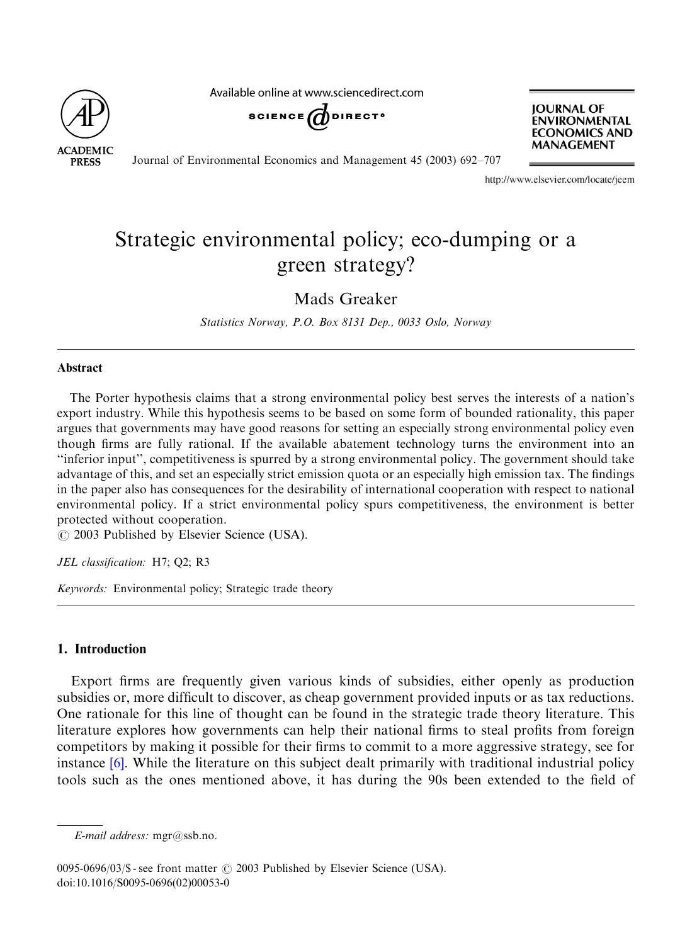

Available online at www.sciencedirect.com

$$
\texttt{scimde}(\bigotimes \texttt{d)} \texttt{d} \texttt{d} \texttt{c}
$$

**JOURNAL OF ENVIRONMENTAL ECONOMICS AND MANAGEMENT** 

Journal of Environmental Economics and Management 45 (2003) 692–707

http://www.elsevier.com/locate/jeem

## Strategic environmental policy; eco-dumping or a green strategy?

Mads Greaker

Statistics Norway, P.O. Box 8131 Dep., 0033 Oslo, Norway

## Abstract

The Porter hypothesis claims that a strong environmental policy best serves the interests of a nation's export industry. While this hypothesis seems to be based on some form of bounded rationality, this paper argues that governments may have good reasons for setting an especially strong environmental policy even though firms are fully rational. If the available abatement technology turns the environment into an ''inferior input'', competitiveness is spurred by a strong environmental policy. The government should take advantage of this, and set an especially strict emission quota or an especially high emission tax. The findings in the paper also has consequences for the desirability of international cooperation with respect to national environmental policy. If a strict environmental policy spurs competitiveness, the environment is better protected without cooperation.

 $\odot$  2003 Published by Elsevier Science (USA).

JEL classification: H7; Q2; R3

Keywords: Environmental policy; Strategic trade theory

## 1. Introduction

Export firms are frequently given various kinds of subsidies, either openly as production subsidies or, more difficult to discover, as cheap government provided inputs or as tax reductions. One rati[ona](#page--1-0)le for this line of thought can be found in the strategic trade theory literature. This literature explores how governments can help their national firms to steal profits from foreign competitors by making it possible for their firms to commit to a more aggressive strategy, see for instance [6]. While the literature on this subject dealt primarily with traditional industrial policy tools such as the ones mentioned above, it has during the 90s been extended to the field of

E-mail address: mgr@ssb.no.

 $0095-0696/03$ /\$ - see front matter  $\odot$  2003 Published by Elsevier Science (USA). doi:10.1016/S0095-0696(02)00053-0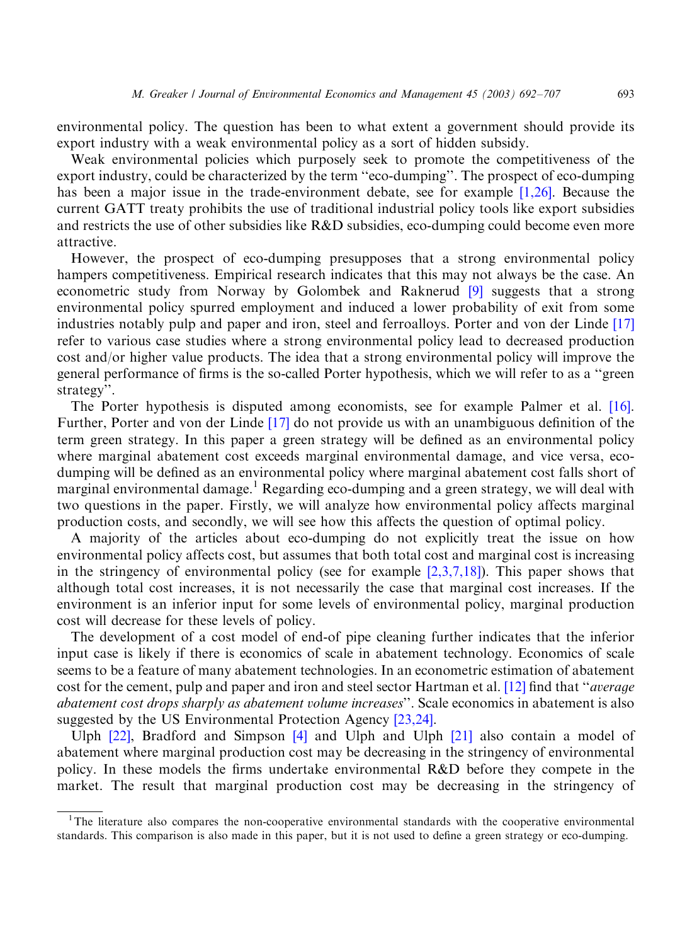environmental policy. The question has been to what extent a government should provide its export industry with a weak environmental policy as a sort of hidden subsid[y.](#page--1-0)

Weak environmental policies which purposely seek to promote the competitiveness of the export industry, could be characterized by the term ''eco-dumping''. The prospect of eco-dumping has been a major issue in the trade-environment debate, see for example [1,26]. Because the current GATT treaty prohibits the use of traditional industrial policy tools like export subsidies and restricts the use of other subsidies like R&D subsidies, eco-dumping could become even more attractive.

However, the prospect of eco-dumping presupposes that a strong environmental policy hampers competitiveness. Empirical research indicates that this may not always be the case. [An](#page--1-0) econometric study from Norway by Golombek and Raknerud [9] suggests that a strong environmental policy spurred employment and induced a lower probability of exit from some industries notably pulp and paper and iron, steel and ferroalloys. Porter and von der Linde [17] refer to various case studies where a strong environmental policy lead to decreased production cost and/or higher value products. The idea that a strong environmental policy will improv[e the](#page--1-0) general performance of firms is the [so-c](#page--1-0)alled Porter hypothesis, which we will refer to as a ''green strategy''.

The Porter hypothesis is disputed among economists, see for example Palmer et al. [16]. Further, Porter and von der Linde [17] do not provide us with an unambiguous definition of the term green strategy. In this paper a green strategy will be defined as an environmental policy where marginal abatement cost exceeds marginal environmental damage, and vice versa, ecodumping will be defined as an environmental policy where marginal abatement cost falls short of marginal environmental damage.<sup>1</sup> Regarding eco-dumping and a green strategy, we will deal with two questions in the paper. Firstly, we will analyze how environmental policy affects marginal production costs, and secondly, we will see how this affects t[he questio](#page--1-0)n of optimal policy.

A majority of the articles about eco-dumping do not explicitly treat the issue on how environmental policy affects cost, but assumes that both total cost and marginal cost is increasing in the stringency of environmental policy (see for example  $[2,3,7,18]$ ). This paper shows that although total cost increases, it is not necessarily the case that marginal cost increases. If the environment is an inferior input for some levels of environmental policy, marginal production cost will decrease for these levels of policy.

The development of a cost model of end-of pipe cleaning further indi[cates](#page--1-0) that the inferior input case is likely if there is economics of scale in abatement technology. Economics of scale seems to be a feature of many abatement technologies. In [an eco](#page--1-0)nometric estimation of abatement cost for [the c](#page--1-0)ement, pulp and paper and [iro](#page--1-0)n and steel sector Hart[man e](#page--1-0)t al. [12] find that "*average* abatement cost drops sharply as abatement volume increases''. Scale economics in abatement is also suggested by the US Environmental Protection Agency [23,24].

Ulph [22], Bradford and Simpson [4] and Ulph and Ulph [21] also contain a model of abatement where marginal production cost may be decreasing in the stringency of environmental policy. In these models the firms undertake environmental R&D before they compete in the market. The result that marginal production cost may be decreasing in the stringency of

<sup>&</sup>lt;sup>1</sup>The literature also compares the non-cooperative environmental standards with the cooperative environmental standards. This comparison is also made in this paper, but it is not used to define a green strategy or eco-dumping.